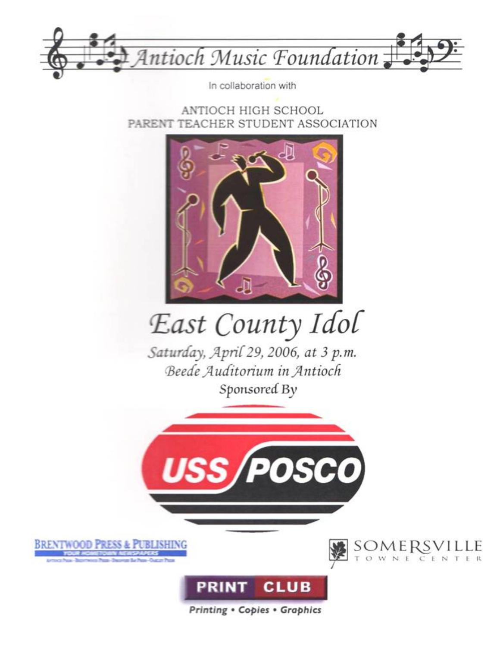

In collaboration with

ANTIOCH HIGH SCHOOL PARENT TEACHER STUDENT ASSOCIATION



# East County Idol

Saturday, April 29, 2006, at 3 p.m. Beede Auditorium in Antioch Sponsored By









**Printing . Copies . Graphics**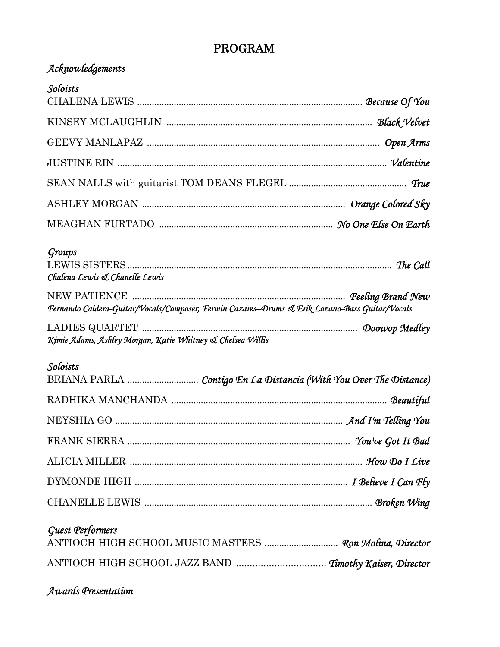#### **PROGRAM**

#### Acknowledgements

| Soloists                                                                                       |  |
|------------------------------------------------------------------------------------------------|--|
|                                                                                                |  |
|                                                                                                |  |
|                                                                                                |  |
|                                                                                                |  |
|                                                                                                |  |
|                                                                                                |  |
| Groups<br>Chalena Lewis & Chanelle Lewis                                                       |  |
| Fernando Caldera-Guitar/Vocals/Composer, Fermin Cazares-Drums & Erik Lozano-Bass Guitar/Vocals |  |
| Kimie Adams, Ashley Morgan, Katie Whitney & Chelsea Willis                                     |  |
| Soloists<br>BRIANA PARLA  Contigo En La Distancia (With You Over The Distance)                 |  |
|                                                                                                |  |
|                                                                                                |  |
|                                                                                                |  |
|                                                                                                |  |
|                                                                                                |  |
|                                                                                                |  |

#### **Guest Performers**

| ANTIOCH HIGH SCHOOL MUSIC MASTERS  Ron Molina, Director |  |
|---------------------------------------------------------|--|
| ANTIOCH HIGH SCHOOL JAZZ BAND  Timothy Kaiser, Director |  |

#### Awards Presentation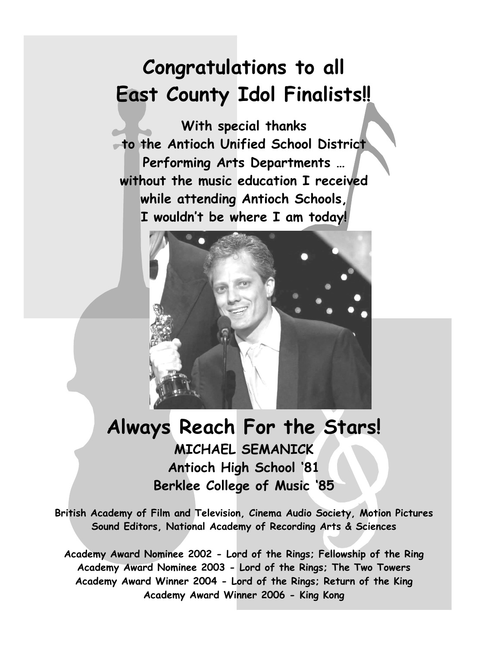## **Congratulations to all East County Idol Finalists!!**

**With special thanks to the Antioch Unified School District Performing Arts Departments … without the music education I received while attending Antioch Schools, I wouldn't be where I am today!** 



### **Always Reach For the Stars! MICHAEL SEMANICK Antioch High School '81 Berklee College of Music '85**

**British Academy of Film and Television, Cinema Audio Society, Motion Pictures Sound Editors, National Academy of Recording Arts & Sciences** 

**Academy Award Nominee 2002 - Lord of the Rings; Fellowship of the Ring Academy Award Nominee 2003 - Lord of the Rings; The Two Towers Academy Award Winner 2004 - Lord of the Rings; Return of the King Academy Award Winner 2006 - King Kong**